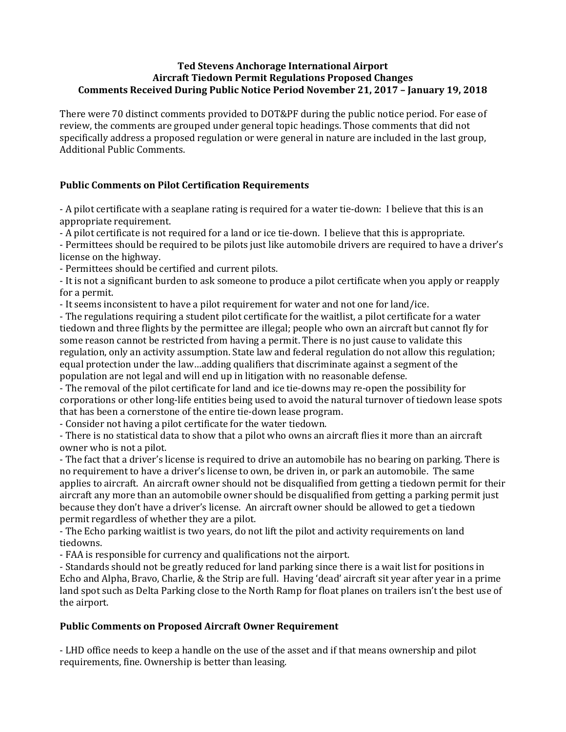# **Ted Stevens Anchorage International Airport Aircraft Tiedown Permit Regulations Proposed Changes Comments Received During Public Notice Period November 21, 2017 – January 19, 2018**

There were 70 distinct comments provided to DOT&PF during the public notice period. For ease of review, the comments are grouped under general topic headings. Those comments that did not specifically address a proposed regulation or were general in nature are included in the last group, Additional Public Comments.

# **Public Comments on Pilot Certification Requirements**

- A pilot certificate with a seaplane rating is required for a water tie-down: I believe that this is an appropriate requirement.

- A pilot certificate is not required for a land or ice tie-down. I believe that this is appropriate.

- Permittees should be required to be pilots just like automobile drivers are required to have a driver's license on the highway.

- Permittees should be certified and current pilots.

- It is not a significant burden to ask someone to produce a pilot certificate when you apply or reapply for a permit.

- It seems inconsistent to have a pilot requirement for water and not one for land/ice.

- The regulations requiring a student pilot certificate for the waitlist, a pilot certificate for a water tiedown and three flights by the permittee are illegal; people who own an aircraft but cannot fly for some reason cannot be restricted from having a permit. There is no just cause to validate this regulation, only an activity assumption. State law and federal regulation do not allow this regulation; equal protection under the law…adding qualifiers that discriminate against a segment of the population are not legal and will end up in litigation with no reasonable defense.

- The removal of the pilot certificate for land and ice tie-downs may re-open the possibility for corporations or other long-life entities being used to avoid the natural turnover of tiedown lease spots that has been a cornerstone of the entire tie-down lease program.

- Consider not having a pilot certificate for the water tiedown.

- There is no statistical data to show that a pilot who owns an aircraft flies it more than an aircraft owner who is not a pilot.

- The fact that a driver's license is required to drive an automobile has no bearing on parking. There is no requirement to have a driver's license to own, be driven in, or park an automobile. The same applies to aircraft. An aircraft owner should not be disqualified from getting a tiedown permit for their aircraft any more than an automobile owner should be disqualified from getting a parking permit just because they don't have a driver's license. An aircraft owner should be allowed to get a tiedown permit regardless of whether they are a pilot.

- The Echo parking waitlist is two years, do not lift the pilot and activity requirements on land tiedowns.

- FAA is responsible for currency and qualifications not the airport.

- Standards should not be greatly reduced for land parking since there is a wait list for positions in Echo and Alpha, Bravo, Charlie, & the Strip are full. Having 'dead' aircraft sit year after year in a prime land spot such as Delta Parking close to the North Ramp for float planes on trailers isn't the best use of the airport.

# **Public Comments on Proposed Aircraft Owner Requirement**

- LHD office needs to keep a handle on the use of the asset and if that means ownership and pilot requirements, fine. Ownership is better than leasing.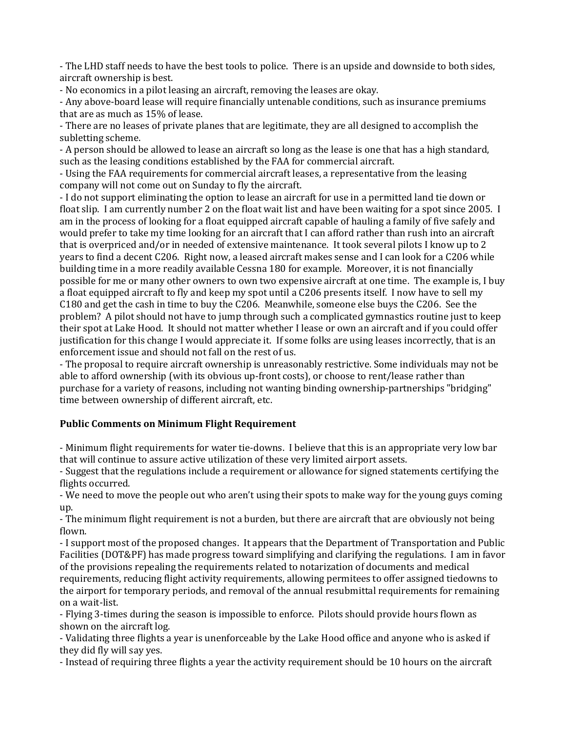- The LHD staff needs to have the best tools to police. There is an upside and downside to both sides, aircraft ownership is best.

- No economics in a pilot leasing an aircraft, removing the leases are okay.

- Any above-board lease will require financially untenable conditions, such as insurance premiums that are as much as 15% of lease.

- There are no leases of private planes that are legitimate, they are all designed to accomplish the subletting scheme.

- A person should be allowed to lease an aircraft so long as the lease is one that has a high standard, such as the leasing conditions established by the FAA for commercial aircraft.

- Using the FAA requirements for commercial aircraft leases, a representative from the leasing company will not come out on Sunday to fly the aircraft.

- I do not support eliminating the option to lease an aircraft for use in a permitted land tie down or float slip. I am currently number 2 on the float wait list and have been waiting for a spot since 2005. I am in the process of looking for a float equipped aircraft capable of hauling a family of five safely and would prefer to take my time looking for an aircraft that I can afford rather than rush into an aircraft that is overpriced and/or in needed of extensive maintenance. It took several pilots I know up to 2 years to find a decent C206. Right now, a leased aircraft makes sense and I can look for a C206 while building time in a more readily available Cessna 180 for example. Moreover, it is not financially possible for me or many other owners to own two expensive aircraft at one time. The example is, I buy a float equipped aircraft to fly and keep my spot until a C206 presents itself. I now have to sell my C180 and get the cash in time to buy the C206. Meanwhile, someone else buys the C206. See the problem? A pilot should not have to jump through such a complicated gymnastics routine just to keep their spot at Lake Hood. It should not matter whether I lease or own an aircraft and if you could offer justification for this change I would appreciate it. If some folks are using leases incorrectly, that is an enforcement issue and should not fall on the rest of us.

- The proposal to require aircraft ownership is unreasonably restrictive. Some individuals may not be able to afford ownership (with its obvious up-front costs), or choose to rent/lease rather than purchase for a variety of reasons, including not wanting binding ownership-partnerships "bridging" time between ownership of different aircraft, etc.

# **Public Comments on Minimum Flight Requirement**

- Minimum flight requirements for water tie-downs. I believe that this is an appropriate very low bar that will continue to assure active utilization of these very limited airport assets.

- Suggest that the regulations include a requirement or allowance for signed statements certifying the flights occurred.

- We need to move the people out who aren't using their spots to make way for the young guys coming up.

- The minimum flight requirement is not a burden, but there are aircraft that are obviously not being flown.

- I support most of the proposed changes. It appears that the Department of Transportation and Public Facilities (DOT&PF) has made progress toward simplifying and clarifying the regulations. I am in favor of the provisions repealing the requirements related to notarization of documents and medical requirements, reducing flight activity requirements, allowing permitees to offer assigned tiedowns to the airport for temporary periods, and removal of the annual resubmittal requirements for remaining on a wait-list.

- Flying 3-times during the season is impossible to enforce. Pilots should provide hours flown as shown on the aircraft log.

- Validating three flights a year is unenforceable by the Lake Hood office and anyone who is asked if they did fly will say yes.

- Instead of requiring three flights a year the activity requirement should be 10 hours on the aircraft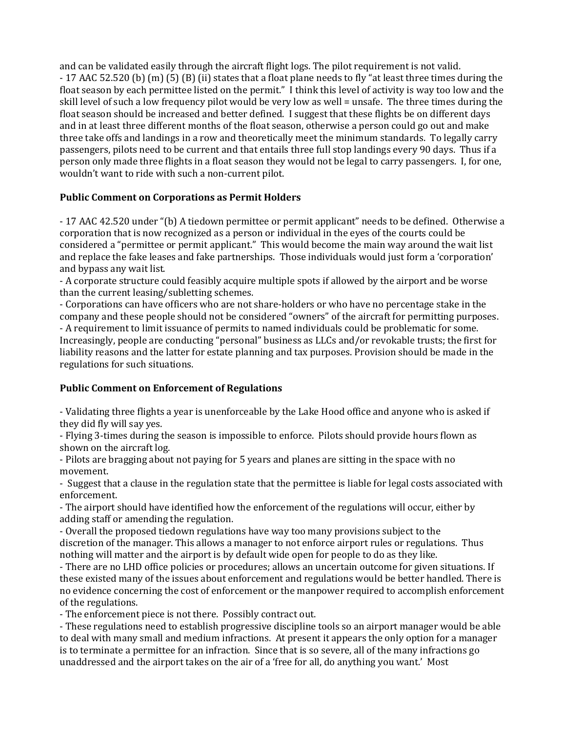and can be validated easily through the aircraft flight logs. The pilot requirement is not valid. - 17 AAC 52.520 (b) (m) (5) (B) (ii) states that a float plane needs to fly "at least three times during the float season by each permittee listed on the permit." I think this level of activity is way too low and the skill level of such a low frequency pilot would be very low as well = unsafe. The three times during the float season should be increased and better defined. I suggest that these flights be on different days and in at least three different months of the float season, otherwise a person could go out and make three take offs and landings in a row and theoretically meet the minimum standards. To legally carry passengers, pilots need to be current and that entails three full stop landings every 90 days. Thus if a person only made three flights in a float season they would not be legal to carry passengers. I, for one, wouldn't want to ride with such a non-current pilot.

# **Public Comment on Corporations as Permit Holders**

- 17 AAC 42.520 under "(b) A tiedown permittee or permit applicant" needs to be defined. Otherwise a corporation that is now recognized as a person or individual in the eyes of the courts could be considered a "permittee or permit applicant." This would become the main way around the wait list and replace the fake leases and fake partnerships. Those individuals would just form a 'corporation' and bypass any wait list.

- A corporate structure could feasibly acquire multiple spots if allowed by the airport and be worse than the current leasing/subletting schemes.

- Corporations can have officers who are not share-holders or who have no percentage stake in the company and these people should not be considered "owners" of the aircraft for permitting purposes. - A requirement to limit issuance of permits to named individuals could be problematic for some. Increasingly, people are conducting "personal" business as LLCs and/or revokable trusts; the first for liability reasons and the latter for estate planning and tax purposes. Provision should be made in the regulations for such situations.

# **Public Comment on Enforcement of Regulations**

- Validating three flights a year is unenforceable by the Lake Hood office and anyone who is asked if they did fly will say yes.

- Flying 3-times during the season is impossible to enforce. Pilots should provide hours flown as shown on the aircraft log.

- Pilots are bragging about not paying for 5 years and planes are sitting in the space with no movement.

- Suggest that a clause in the regulation state that the permittee is liable for legal costs associated with enforcement.

- The airport should have identified how the enforcement of the regulations will occur, either by adding staff or amending the regulation.

- Overall the proposed tiedown regulations have way too many provisions subject to the discretion of the manager. This allows a manager to not enforce airport rules or regulations. Thus nothing will matter and the airport is by default wide open for people to do as they like.

- There are no LHD office policies or procedures; allows an uncertain outcome for given situations. If these existed many of the issues about enforcement and regulations would be better handled. There is no evidence concerning the cost of enforcement or the manpower required to accomplish enforcement of the regulations.

- The enforcement piece is not there. Possibly contract out.

- These regulations need to establish progressive discipline tools so an airport manager would be able to deal with many small and medium infractions. At present it appears the only option for a manager is to terminate a permittee for an infraction. Since that is so severe, all of the many infractions go unaddressed and the airport takes on the air of a 'free for all, do anything you want.' Most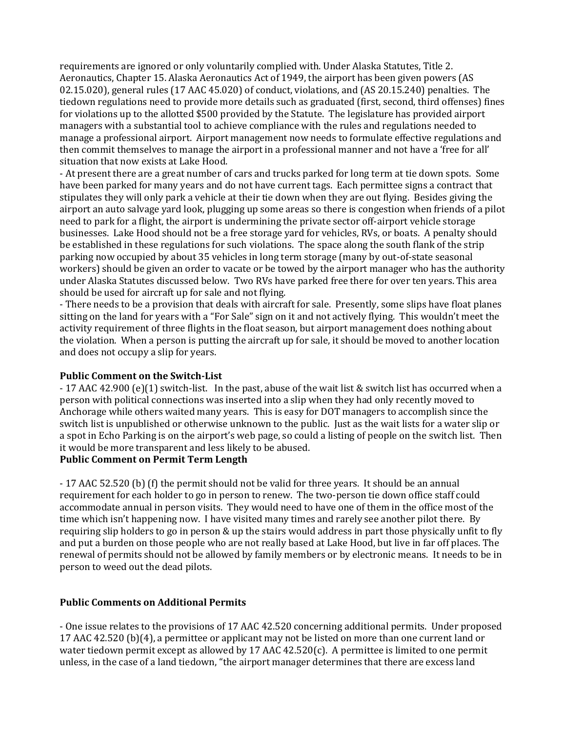requirements are ignored or only voluntarily complied with. Under Alaska Statutes, Title 2. Aeronautics, Chapter 15. Alaska Aeronautics Act of 1949, the airport has been given powers (AS 02.15.020), general rules (17 AAC 45.020) of conduct, violations, and (AS 20.15.240) penalties. The tiedown regulations need to provide more details such as graduated (first, second, third offenses) fines for violations up to the allotted \$500 provided by the Statute. The legislature has provided airport managers with a substantial tool to achieve compliance with the rules and regulations needed to manage a professional airport. Airport management now needs to formulate effective regulations and then commit themselves to manage the airport in a professional manner and not have a 'free for all' situation that now exists at Lake Hood.

- At present there are a great number of cars and trucks parked for long term at tie down spots. Some have been parked for many years and do not have current tags. Each permittee signs a contract that stipulates they will only park a vehicle at their tie down when they are out flying. Besides giving the airport an auto salvage yard look, plugging up some areas so there is congestion when friends of a pilot need to park for a flight, the airport is undermining the private sector off-airport vehicle storage businesses. Lake Hood should not be a free storage yard for vehicles, RVs, or boats. A penalty should be established in these regulations for such violations. The space along the south flank of the strip parking now occupied by about 35 vehicles in long term storage (many by out-of-state seasonal workers) should be given an order to vacate or be towed by the airport manager who has the authority under Alaska Statutes discussed below. Two RVs have parked free there for over ten years. This area should be used for aircraft up for sale and not flying.

- There needs to be a provision that deals with aircraft for sale. Presently, some slips have float planes sitting on the land for years with a "For Sale" sign on it and not actively flying. This wouldn't meet the activity requirement of three flights in the float season, but airport management does nothing about the violation. When a person is putting the aircraft up for sale, it should be moved to another location and does not occupy a slip for years.

#### **Public Comment on the Switch-List**

- 17 AAC 42.900 (e)(1) switch-list. In the past, abuse of the wait list & switch list has occurred when a person with political connections was inserted into a slip when they had only recently moved to Anchorage while others waited many years. This is easy for DOT managers to accomplish since the switch list is unpublished or otherwise unknown to the public. Just as the wait lists for a water slip or a spot in Echo Parking is on the airport's web page, so could a listing of people on the switch list. Then it would be more transparent and less likely to be abused.

# **Public Comment on Permit Term Length**

- 17 AAC 52.520 (b) (f) the permit should not be valid for three years. It should be an annual requirement for each holder to go in person to renew. The two-person tie down office staff could accommodate annual in person visits. They would need to have one of them in the office most of the time which isn't happening now. I have visited many times and rarely see another pilot there. By requiring slip holders to go in person & up the stairs would address in part those physically unfit to fly and put a burden on those people who are not really based at Lake Hood, but live in far off places. The renewal of permits should not be allowed by family members or by electronic means. It needs to be in person to weed out the dead pilots.

# **Public Comments on Additional Permits**

- One issue relates to the provisions of 17 AAC 42.520 concerning additional permits. Under proposed 17 AAC 42.520 (b)(4), a permittee or applicant may not be listed on more than one current land or water tiedown permit except as allowed by 17 AAC 42.520(c). A permittee is limited to one permit unless, in the case of a land tiedown, "the airport manager determines that there are excess land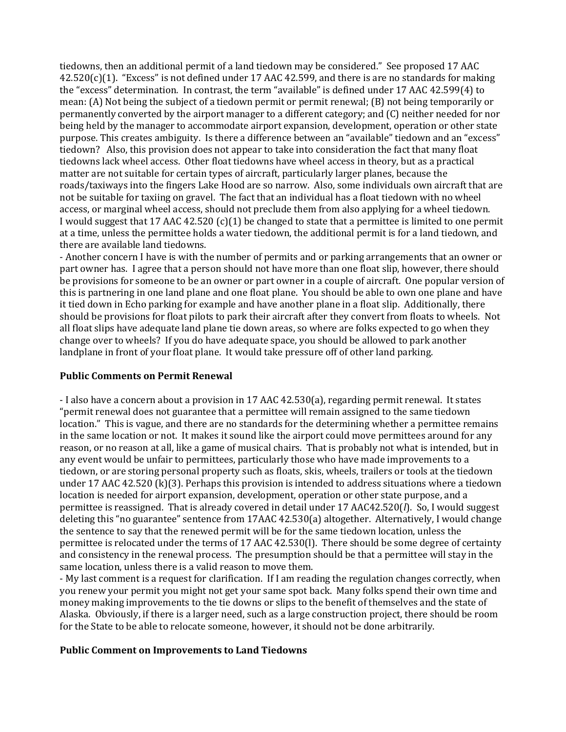tiedowns, then an additional permit of a land tiedown may be considered." See proposed 17 AAC 42.520(c)(1). "Excess" is not defined under 17 AAC 42.599, and there is are no standards for making the "excess" determination. In contrast, the term "available" is defined under 17 AAC 42.599(4) to mean: (A) Not being the subject of a tiedown permit or permit renewal; (B) not being temporarily or permanently converted by the airport manager to a different category; and (C) neither needed for nor being held by the manager to accommodate airport expansion, development, operation or other state purpose. This creates ambiguity. Is there a difference between an "available" tiedown and an "excess" tiedown? Also, this provision does not appear to take into consideration the fact that many float tiedowns lack wheel access. Other float tiedowns have wheel access in theory, but as a practical matter are not suitable for certain types of aircraft, particularly larger planes, because the roads/taxiways into the fingers Lake Hood are so narrow. Also, some individuals own aircraft that are not be suitable for taxiing on gravel. The fact that an individual has a float tiedown with no wheel access, or marginal wheel access, should not preclude them from also applying for a wheel tiedown. I would suggest that 17 AAC 42.520  $(c)(1)$  be changed to state that a permittee is limited to one permit at a time, unless the permittee holds a water tiedown, the additional permit is for a land tiedown, and there are available land tiedowns.

- Another concern I have is with the number of permits and or parking arrangements that an owner or part owner has. I agree that a person should not have more than one float slip, however, there should be provisions for someone to be an owner or part owner in a couple of aircraft. One popular version of this is partnering in one land plane and one float plane. You should be able to own one plane and have it tied down in Echo parking for example and have another plane in a float slip. Additionally, there should be provisions for float pilots to park their aircraft after they convert from floats to wheels. Not all float slips have adequate land plane tie down areas, so where are folks expected to go when they change over to wheels? If you do have adequate space, you should be allowed to park another landplane in front of your float plane. It would take pressure off of other land parking.

# **Public Comments on Permit Renewal**

- I also have a concern about a provision in 17 AAC 42.530(a), regarding permit renewal. It states "permit renewal does not guarantee that a permittee will remain assigned to the same tiedown location." This is vague, and there are no standards for the determining whether a permittee remains in the same location or not. It makes it sound like the airport could move permittees around for any reason, or no reason at all, like a game of musical chairs. That is probably not what is intended, but in any event would be unfair to permittees, particularly those who have made improvements to a tiedown, or are storing personal property such as floats, skis, wheels, trailers or tools at the tiedown under 17 AAC 42.520 (k)(3). Perhaps this provision is intended to address situations where a tiedown location is needed for airport expansion, development, operation or other state purpose, and a permittee is reassigned. That is already covered in detail under 17 AAC42.520(*l*). So, I would suggest deleting this "no guarantee" sentence from 17AAC 42.530(a) altogether. Alternatively, I would change the sentence to say that the renewed permit will be for the same tiedown location, unless the permittee is relocated under the terms of 17 AAC 42.530(l). There should be some degree of certainty and consistency in the renewal process. The presumption should be that a permittee will stay in the same location, unless there is a valid reason to move them.

- My last comment is a request for clarification. If I am reading the regulation changes correctly, when you renew your permit you might not get your same spot back. Many folks spend their own time and money making improvements to the tie downs or slips to the benefit of themselves and the state of Alaska. Obviously, if there is a larger need, such as a large construction project, there should be room for the State to be able to relocate someone, however, it should not be done arbitrarily.

# **Public Comment on Improvements to Land Tiedowns**